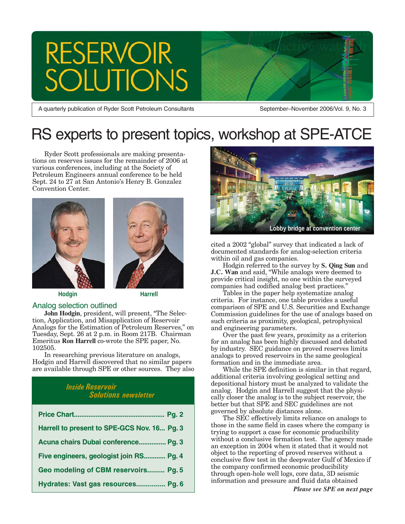# **RESERVOIR** ION

A quarterly publication of Ryder Scott Petroleum Consultants

September–November 2006/Vol. 9, No. 3

## RS experts to present topics, workshop at SPE-ATCE

Ryder Scott professionals are making presentations on reserves issues for the remainder of 2006 at various conferences, including at the Society of Petroleum Engineers annual conference to be held Sept. 24 to 27 at San Antonio's Henry B. Gonzalez Convention Center.





**Hodgin Harrell**

### Analog selection outlined

**John Hodgin**, president, will present, "The Selection, Application, and Misapplication of Reservoir Analogs for the Estimation of Petroleum Reserves," on Tuesday, Sept. 26 at 2 p.m. in Room 217B. Chairman Emeritus **Ron Harrell** co-wrote the SPE paper, No. 102505.

In researching previous literature on analogs, Hodgin and Harrell discovered that no similar papers are available through SPE or other sources. They also

### *Inside Reservoir Solutions newsletter*

| Harrell to present to SPE-GCS Nov. 16 Pg. 3 |
|---------------------------------------------|
| Acuna chairs Dubai conference Pg. 3         |
| Five engineers, geologist join RS Pg. 4     |
| Geo modeling of CBM reservoirs Pg. 5        |
| Hydrates: Vast gas resources Pg. 6          |



cited a 2002 "global" survey that indicated a lack of documented standards for analog-selection criteria within oil and gas companies.

Hodgin referred to the survey by **S. Qing Sun** and **J.C. Wan** and said, "While analogs were deemed to provide critical insight, no one within the surveyed companies had codified analog best practices."

Tables in the paper help systematize analog criteria. For instance, one table provides a useful comparison of SPE and U.S. Securities and Exchange Commission guidelines for the use of analogs based on such criteria as proximity, geological, petrophysical and engineering parameters.

Over the past few years, proximity as a criterion for an analog has been highly discussed and debated by industry. SEC guidance on proved reserves limits analogs to proved reservoirs in the same geological formation and in the immediate area.

While the SPE definition is similar in that regard, additional criteria involving geological setting and depositional history must be analyzed to validate the analog. Hodgin and Harrell suggest that the physically closer the analog is to the subject reservoir, the better but that SPE and SEC guidelines are not governed by absolute distances alone.

The SEC effectively limits reliance on analogs to those in the same field in cases where the company is trying to support a case for economic producibility without a conclusive formation test. The agency made an exception in 2004 when it stated that it would not object to the reporting of proved reserves without a conclusive flow test in the deepwater Gulf of Mexico if the company confirmed economic producibility through open-hole well logs, core data, 3D seismic information and pressure and fluid data obtained

*Please see SPE on next page*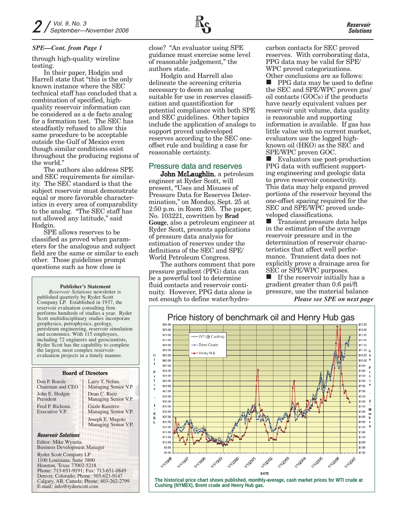#### *SPE—Cont. from Page 1*

through high-quality wireline testing.

In their paper, Hodgin and Harrell state that "this is the only known instance where the SEC technical staff has concluded that a combination of specified, highquality reservoir information can be considered as a de facto analog for a formation test. The SEC has steadfastly refused to allow this same procedure to be acceptable outside the Gulf of Mexico even though similar conditions exist throughout the producing regions of the world."

The authors also address SPE and SEC requirements for similarity. The SEC standard is that the subject reservoir must demonstrate equal or more favorable characteristics in every area of comparability to the analog. "The SEC staff has not allowed any latitude," said Hodgin.

SPE allows reserves to be classified as proved when parameters for the analogous and subject field are the same or similar to each other. Those guidelines prompt questions such as how close is

#### **Publisher's Statement**

*Reservoir Solutions* newsletter is published quarterly by Ryder Scott Company LP. Established in 1937, the reservoir evaluation consulting firm performs hundreds of studies a year. Ryder Scott multidisciplinary studies incorporate geophysics, petrophysics, geology, petroleum engineering, reservoir simulation and economics. With 115 employees, including 72 engineers and geoscientists, Ryder Scott has the capability to complete the largest, most complex reservoirevaluation projects in a timely manner.

### Board of Directors

Don P. Roesle Chairman and CEO John E. Hodgin President Fred P. Richoux Executive V.P.

Larry T. Nelms Managing Senior V.P. Dean C. Rietz Managing Senior V.P. Guale Ramirez Managing Senior V.P. Joseph E. Magoto Managing Senior V.P.

#### *Reservoir Solutions* Editor: Mike Wysatta

Business Development Manager

Ryder Scott Company LP 1100 Louisiana, Suite 3800 Houston, Texas 77002-5218 Phone: 713-651-9191; Fax: 713-651-0849 Denver, Colorado; Phone: 303-623-9147 Calgary, AB, Canada; Phone: 403-262-2799 E-mail: info@ryderscott.com

close? "An evaluator using SPE guidance must exercise some level of reasonable judgement," the authors state.

Hodgin and Harrell also delineate the screening criteria necessary to deem an analog suitable for use in reserves classification and quantification for potential compliance with both SPE and SEC guidelines. Other topics include the application of analogs to support proved undeveloped reserves according to the SEC oneoffset rule and building a case for reasonable certainty.

### Pressure data and reserves

**John McLaughlin**, a petroleum engineer at Ryder Scott, will present, "Uses and Misuses of Pressure Data for Reserves Determination," on Monday, Sept. 25 at 2:50 p.m. in Room 205. The paper, No. 103221, cowritten by **Brad Gouge**, also a petroleum engineer at Ryder Scott, presents applications of pressure data analysis for estimation of reserves under the definitions of the SEC and SPE/ World Petroleum Congress.

The authors comment that pore pressure gradient (PPG) data can be a powerful tool to determine fluid contacts and reservoir continuity. However, PPG data alone is not enough to define water/hydrocarbon contacts for SEC proved reserves. With corroborating data, PPG data may be valid for SPE/ WPC proved categorizations. Other conclusions are as follows:

 PPG data may be used to define the SEC and SPE/WPC proven gas/ oil contacts (GOCs) if the products have nearly equivalent values per reservoir unit volume, data quality is reasonable and supporting information is available. If gas has little value with no current market, evaluators use the logged highknown oil (HKO) as the SEC and SPE/WPC proven GOC.

**EValuators use post-production** PPG data with sufficient supporting engineering and geologic data to prove reservoir connectivity. This data may help expand proved portions of the reservoir beyond the one-offset spacing required for the SEC and SPE/WPC proved undeveloped classifications.

**T** Transient pressure data helps in the estimation of the average reservoir pressure and in the determination of reservoir characteristics that affect well performance. Transient data does not explicitly prove a drainage area for SEC or SPE/WPC purposes.

 $\blacksquare$  If the reservoir initially has a gradient greater than 0.6 psi/ft pressure, use the material balance

*Please see SPE on next page*



**The historical price chart shows published, monthly-average, cash market prices for WTI crude at Cushing (NYMEX), Brent crude and Henry Hub gas.**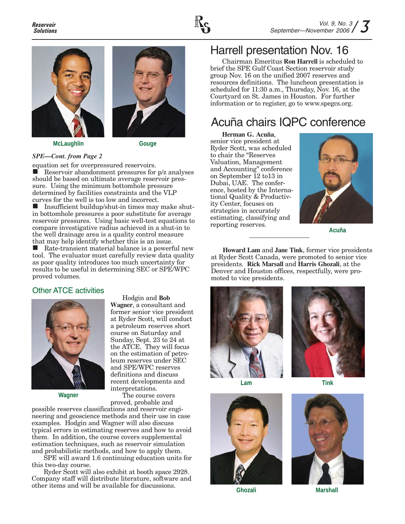





Hodgin and **Bob Wagner**, a consultant and former senior vice president at Ryder Scott, will conduct

course on Saturday and Sunday, Sept. 23 to 24 at the ATCE. They will focus on the estimation of petroleum reserves under SEC and SPE/WPC reserves definitions and discuss

The course covers

### *SPE—Cont. from Page 2*

equation set for overpressured reservoirs.<br> **E** Reservoir abandonment pressures for

 Reservoir abandonment pressures for p/z analyses should be based on ultimate average reservoir pressure. Using the minimum bottomhole pressure determined by facilities constraints and the VLP curves for the well is too low and incorrect.

■ Insufficient buildup/shut-in times may make shutin bottomhole pressures a poor substitute for average reservoir pressures. Using basic well-test equations to compare investigative radius achieved in a shut-in to the well drainage area is a quality control measure that may help identify whether this is an issue.

 Rate-transient material balance is a powerful new tool. The evaluator must carefully review data quality as poor quality introduces too much uncertainty for results to be useful in determining SEC or SPE/WPC proved volumes.

### Other ATCE activities



**Wagner**

proved, probable and possible reserves classifications and reservoir engineering and geoscience methods and their use in case examples. Hodgin and Wagner will also discuss typical errors in estimating reserves and how to avoid them. In addition, the course covers supplemental estimation techniques, such as reservoir simulation and probabilistic methods, and how to apply them.

SPE will award 1.6 continuing education units for this two-day course.

Ryder Scott will also exhibit at booth space 2928. Company staff will distribute literature, software and other items and will be available for discussions.

### Harrell presentation Nov. 16

Chairman Emeritus **Ron Harrell** is scheduled to brief the SPE Gulf Coast Section reservoir study group Nov. 16 on the unified 2007 reserves and resources definitions. The luncheon presentation is scheduled for 11:30 a.m., Thursday, Nov. 16, at the Courtyard on St. James in Houston. For further information or to register, go to www.spegcs.org.

### Acuña chairs IQPC conference

**Herman G. Acuña**, senior vice president at Ryder Scott, was scheduled to chair the "Reserves Valuation, Management and Accounting" conference on September 12 to13 in Dubai, UAE. The conference, hosted by the International Quality & Productivity Center, focuses on strategies in accurately estimating, classifying and reporting reserves. **Acuña**



**Howard Lam** and **Jane Tink**, former vice presidents at Ryder Scott Canada, were promoted to senior vice presidents. **Rick Marsall** and **Harris Ghozali**, at the Denver and Houston offices, respectfully, were promoted to vice presidents.











**Ghozali Marshall**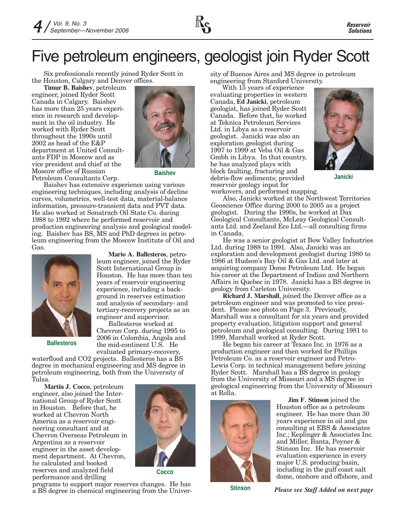

# Five petroleum engineers, geologist join Ryder Scott

Six professionals recently joined Ryder Scott in the Houston, Calgary and Denver offices.

**Timur B. Baishev**, petroleum engineer, joined Ryder Scott Canada in Calgary. Baishev has more than 25 years experience in research and development in the oil industry. He worked with Ryder Scott throughout the 1990s until 2002 as head of the E&P department at United Consultants FDP in Moscow and as vice president and chief at the Moscow office of Russian Petroleum Consultants Corp.



**Baishev**

Baishev has extensive experience using various engineering techniques, including analysis of decline curves, volumetrics, well-test data, material-balance information, pressure-transient data and PVT data. He also worked at Sonatrach Oil State Co. during 1988 to 1992 where he performed reservoir and production engineering analysis and geological modeling. Baishev has BS, MS and PhD degrees in petroleum engineering from the Moscow Institute of Oil and Gas.



**Mario A. Ballesteros**, petroleum engineer, joined the Ryder Scott International Group in Houston. He has more than ten years of reservoir engineering experience, including a background in reserves estimation and analysis of secondary- and tertiary-recovery projects as an engineer and supervisor.

**Ballesteros**

Ballesteros worked at Chevron Corp. during 1995 to 2006 in Colombia, Angola and the mid-continent U.S. He evaluated primary-recovery,

waterflood and CO2 projects. Ballesteros has a BS degree in mechanical engineering and MS degree in petroleum engineering, both from the University of Tulsa.

**Martín J. Cocco**, petroleum engineer, also joined the International Group of Ryder Scott in Houston. Before that, he worked at Chevron North America as a reservoir engineering consultant and at Chevron Overseas Petroleum in Argentina as a reservoir engineer in the asset development department. At Chevron, he calculated and booked reserves and analyzed field performance and drilling **Cocco**



programs to support major reserves changes. He has a BS degree in chemical engineering from the University of Buenos Aires and MS degree in petroleum engineering from Stanford University.

With 15 years of experience evaluating properties in western Canada, **Ed Janicki**, petroleum geologist, has joined Ryder Scott Canada. Before that, he worked at Teknica Petroleum Services Ltd. in Libya as a reservoir geologist. Janicki was also an exploration geologist during 1997 to 1999 at Veba Oil & Gas Gmbh in Libya. In that country, he has analyzed plays with block faulting, fracturing and debris-flow sediments; provided reservoir geology input for



**Janicki**

workovers, and performed mapping.

Also, Janicki worked at the Northwest Territories Geoscience Office during 2000 to 2005 as a project geologist. During the 1990s, he worked at Dax Geological Consultants, McLeay Geological Consultants Ltd. and Zeeland Eco Ltd.—all consulting firms in Canada.

He was a senior geologist at Bow Valley Industries Ltd. during 1988 to 1991. Also, Janicki was an exploration and development geologist during 1980 to 1986 at Hudson's Bay Oil & Gas Ltd. and later at acquiring company Dome Petroleum Ltd. He began his career at the Department of Indian and Northern Affairs in Quebec in 1978. Janicki has a BS degree in geology from Carleton University.

**Richard J. Marshall**, joined the Denver office as a petroleum engineer and was promoted to vice president. Please see photo on Page 3. Previously, Marshall was a consultant for six years and provided property evaluation, litigation support and general petroleum and geological consulting. During 1981 to 1999, Marshall worked at Ryder Scott.

He began his career at Texaco Inc. in 1976 as a production engineer and then worked for Phillips Petroleum Co. as a reservoir engineer and Petro-Lewis Corp. in technical management before joining Ryder Scott. Marshall has a BS degree in geology from the University of Missouri and a MS degree in geological engineering from the University of Missouri at Rolla.



**Jim F. Stinson** joined the Houston office as a petroleum engineer. He has more than 30 years experience in oil and gas consulting at EBS & Associates Inc.; Keplinger & Associates Inc. and Miller, Banta, Poyner & Stinson Inc. He has reservoir evaluation experience in every major U.S. producing basin, including in the gulf coast salt dome, onshore and offshore, and

**Stinson** *Please see Staff Added on next page*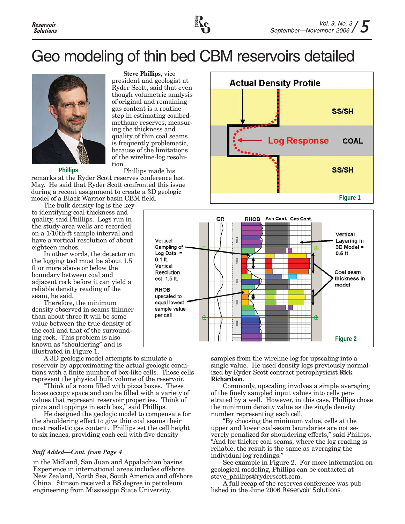# Geo modeling of thin bed CBM reservoirs detailed

**Steve Phillips**, vice president and geologist at Ryder Scott, said that even though volumetric analysis of original and remaining gas content is a routine step in estimating coalbedmethane reserves, measuring the thickness and quality of thin coal seams is frequently problematic, because of the limitations of the wireline-log resolu-



**Phillips**

Phillips made his remarks at the Ryder Scott reserves conference last May. He said that Ryder Scott confronted this issue during a recent assignment to create a 3D geologic model of a Black Warrior basin CBM field.

tion.

The bulk density log is the key to identifying coal thickness and quality, said Phillips. Logs run in the study-area wells are recorded on a 1/10th-ft sample interval and have a vertical resolution of about eighteen inches.

In other words, the detector on the logging tool must be about 1.5 ft or more above or below the boundary between coal and adjacent rock before it can yield a reliable density reading of the seam, he said.

Therefore, the minimum density observed in seams thinner than about three ft will be some value between the true density of the coal and that of the surrounding rock. This problem is also known as "shouldering" and is illustrated in Figure 1.

A 3D geologic model attempts to simulate a reservoir by approximating the actual geologic conditions with a finite number of box-like cells. Those cells represent the physical bulk volume of the reservoir.

"Think of a room filled with pizza boxes. These boxes occupy space and can be filled with a variety of values that represent reservoir properties. Think of pizza and toppings in each box," said Phillips.

He designed the geologic model to compensate for the shouldering effect to give thin coal seams their most realistic gas content. Phillips set the cell height to six inches, providing each cell with five density

### *Staff Added—Cont. from Page 4*

in the Midland, San Juan and Appalachian basins. Experience in international areas includes offshore New Zealand, North Sea, South America and offshore China. Stinson received a BS degree in petroleum engineering from Mississippi State University.





samples from the wireline log for upscaling into a single value. He used density logs previously normalized by Ryder Scott contract petrophysicist **Rick Richardson**.

Commonly, upscaling involves a simple averaging of the finely sampled input values into cells penetrated by a well. However, in this case, Phillips chose the minimum density value as the single density number representing each cell.

"By choosing the minimum value, cells at the upper and lower coal-seam boundaries are not severely penalized for shouldering effects," said Phillips. "And for thicker coal seams, where the log reading is reliable, the result is the same as averaging the individual log readings."

See example in Figure 2. For more information on geological modeling, Phillips can be contacted at steve\_phillips@ryderscott.com.

A full recap of the reserves conference was published in the June 2006 *Reservoir Solutions*.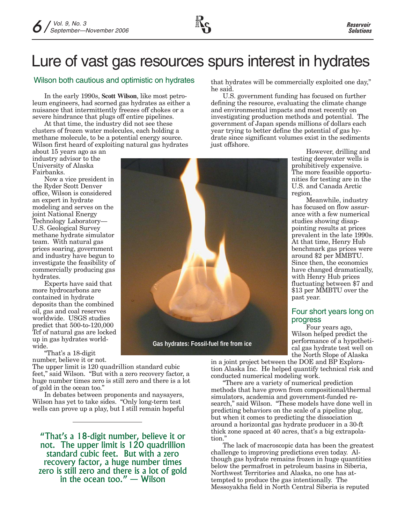# Lure of vast gas resources spurs interest in hydrates

### Wilson both cautious and optimistic on hydrates

In the early 1990s, **Scott Wilson**, like most petroleum engineers, had scorned gas hydrates as either a nuisance that intermittently freezes off chokes or a severe hindrance that plugs off entire pipelines.

At that time, the industry did not see these clusters of frozen water molecules, each holding a methane molecule, to be a potential energy source. Wilson first heard of exploiting natural gas hydrates

about 15 years ago as an industry advisor to the University of Alaska Fairbanks.

Now a vice president in the Ryder Scott Denver office, Wilson is considered an expert in hydrate modeling and serves on the joint National Energy Technology Laboratory— U.S. Geological Survey methane hydrate simulator team. With natural gas prices soaring, government and industry have begun to investigate the feasibility of commercially producing gas hydrates.

Experts have said that more hydrocarbons are contained in hydrate deposits than the combined oil, gas and coal reserves worldwide. USGS studies predict that 500-to-120,000 Tcf of natural gas are locked up in gas hydrates worldwide.

"That's a 18-digit number, believe it or not.

The upper limit is 120 quadrillion standard cubic feet," said Wilson. "But with a zero recovery factor, a huge number times zero is still zero and there is a lot of gold in the ocean too."

In debates between proponents and naysayers, Wilson has yet to take sides. "Only long-term test wells can prove up a play, but I still remain hopeful

"That's a 18-digit number, believe it or not. The upper limit is 120 quadrillion standard cubic feet. But with a zero recovery factor, a huge number times zero is still zero and there is a lot of gold in the ocean too." — Wilson

**Gas hydrates: Fossil-fuel fire from ice**

that hydrates will be commercially exploited one day," he said.

U.S. government funding has focused on further defining the resource, evaluating the climate change and environmental impacts and most recently on investigating production methods and potential. The government of Japan spends millions of dollars each year trying to better define the potential of gas hydrate since significant volumes exist in the sediments just offshore.

However, drilling and testing deepwater wells is prohibitively expensive. The more feasible opportunities for testing are in the U.S. and Canada Arctic region.

Meanwhile, industry has focused on flow assurance with a few numerical studies showing disappointing results at prices prevalent in the late 1990s. At that time, Henry Hub benchmark gas prices were around \$2 per MMBTU. Since then, the economics have changed dramatically, with Henry Hub prices fluctuating between \$7 and \$13 per MMBTU over the past year.

### Four short years long on progress

Four years ago, Wilson helped predict the performance of a hypothetical gas hydrate test well on the North Slope of Alaska

in a joint project between the DOE and BP Exploration Alaska Inc. He helped quantify technical risk and conducted numerical modeling work.

"There are a variety of numerical prediction methods that have grown from compositional/thermal simulators, academia and government-funded research," said Wilson. "These models have done well in predicting behaviors on the scale of a pipeline plug, but when it comes to predicting the dissociation around a horizontal gas hydrate producer in a 30-ft thick zone spaced at 40 acres, that's a big extrapolation."

The lack of macroscopic data has been the greatest challenge to improving predictions even today. Although gas hydrate remains frozen in huge quantities below the permafrost in petroleum basins in Siberia, Northwest Territories and Alaska, no one has attempted to produce the gas intentionally. The Messoyakha field in North Central Siberia is reputed

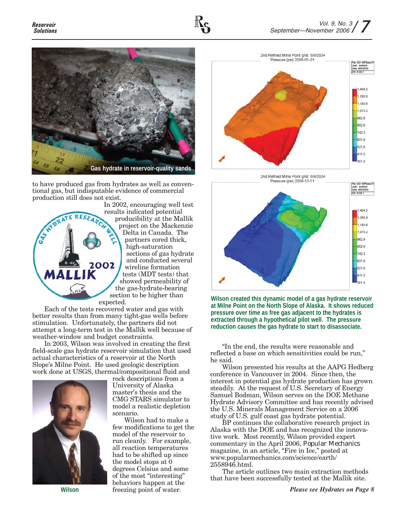

to have produced gas from hydrates as well as conventional gas, but indisputable evidence of commercial production still does not exist.



In 2002, encouraging well test results indicated potential producibility at the Mallik project on the Mackenzie Delta in Canada. The partners cored thick, high-saturation sections of gas hydrate and conducted several wireline formation tests (MDT tests) that showed permeability of the gas-hydrate-bearing section to be higher than

Each of the tests recovered water and gas with better results than from many tight-gas wells before stimulation. Unfortunately, the partners did not attempt a long-term test in the Mallik well because of weather-window and budget constraints.

In 2003, Wilson was involved in creating the first field-scale gas hydrate reservoir simulation that used actual characteristics of a reservoir at the North Slope's Milne Point. He used geologic description work done at USGS, thermal/compositional fluid and



**Wilson**

rock descriptions from a University of Alaska master's thesis and the CMG STARS simulator to model a realistic depletion scenario.

Wilson had to make a few modifications to get the model of the reservoir to run cleanly. For example, all reaction temperatures had to be shifted up since the model stops at 0 degrees Celsius and some of the most "interesting" behaviors happen at the freezing point of water.





**Wilson created this dynamic model of a gas hydrate reservoir at Milne Point on the North Slope of Alaska. It shows reduced pressure over time as free gas adjacent to the hydrates is extracted through a hypothetical pilot well. The pressure reduction causes the gas hydrate to start to disassociate.**

"In the end, the results were reasonable and reflected a base on which sensitivities could be run," he said.

Wilson presented his results at the AAPG Hedberg conference in Vancouver in 2004. Since then, the interest in potential gas hydrate production has grown steadily. At the request of U.S. Secretary of Energy Samuel Bodman, Wilson serves on the DOE Methane Hydrate Advisory Committee and has recently advised the U.S. Minerals Management Service on a 2006 study of U.S. gulf coast gas hydrate potential.

BP continues the collaborative research project in Alaska with the DOE and has recognized the innovative work. Most recently, Wilson provided expert commentary in the April 2006, *Popular Mechanics* magazine, in an article, "Fire in Ice," posted at www.popularmechanics.com/science/earth/ 2558946.html.

The article outlines two main extraction methods that have been successfully tested at the Mallik site.